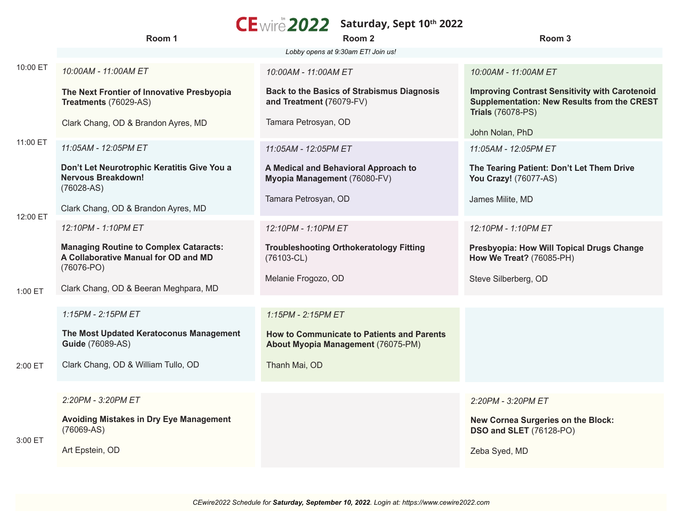## **Saturday, Sept 10th 2022**

|          | Room 1                                                                                              | Room 2                                                                           | Room 3                                                                                                                                  |
|----------|-----------------------------------------------------------------------------------------------------|----------------------------------------------------------------------------------|-----------------------------------------------------------------------------------------------------------------------------------------|
|          |                                                                                                     | Lobby opens at 9:30am ET! Join us!                                               |                                                                                                                                         |
| 10:00 ET | 10:00AM - 11:00AM ET                                                                                | 10:00AM - 11:00AM ET                                                             | 10:00AM - 11:00AM ET                                                                                                                    |
|          | The Next Frontier of Innovative Presbyopia<br>Treatments (76029-AS)                                 | <b>Back to the Basics of Strabismus Diagnosis</b><br>and Treatment (76079-FV)    | <b>Improving Contrast Sensitivity with Carotenoid</b><br><b>Supplementation: New Results from the CREST</b><br><b>Trials (76078-PS)</b> |
| 11:00 ET | Clark Chang, OD & Brandon Ayres, MD                                                                 | Tamara Petrosyan, OD                                                             | John Nolan, PhD                                                                                                                         |
|          | 11:05AM - 12:05PM ET                                                                                | 11:05AM - 12:05PM ET                                                             | 11:05AM - 12:05PM ET                                                                                                                    |
|          | Don't Let Neurotrophic Keratitis Give You a<br><b>Nervous Breakdown!</b><br>$(76028-AS)$            | A Medical and Behavioral Approach to<br>Myopia Management (76080-FV)             | The Tearing Patient: Don't Let Them Drive<br>You Crazy! (76077-AS)                                                                      |
| 12:00 ET | Clark Chang, OD & Brandon Ayres, MD                                                                 | Tamara Petrosyan, OD                                                             | James Milite, MD                                                                                                                        |
|          | 12:10PM - 1:10PM ET                                                                                 | 12:10PM - 1:10PM ET                                                              | 12:10PM - 1:10PM ET                                                                                                                     |
|          | <b>Managing Routine to Complex Cataracts:</b><br>A Collaborative Manual for OD and MD<br>(76076-PO) | <b>Troubleshooting Orthokeratology Fitting</b><br>$(76103 - CL)$                 | Presbyopia: How Will Topical Drugs Change<br>How We Treat? (76085-PH)                                                                   |
| 1:00 ET  | Clark Chang, OD & Beeran Meghpara, MD                                                               | Melanie Frogozo, OD                                                              | Steve Silberberg, OD                                                                                                                    |
|          |                                                                                                     |                                                                                  |                                                                                                                                         |
|          | 1:15PM - 2:15PM ET                                                                                  | 1:15PM - 2:15PM ET                                                               |                                                                                                                                         |
|          | The Most Updated Keratoconus Management<br><b>Guide (76089-AS)</b>                                  | How to Communicate to Patients and Parents<br>About Myopia Management (76075-PM) |                                                                                                                                         |
| 2:00 ET  | Clark Chang, OD & William Tullo, OD                                                                 | Thanh Mai, OD                                                                    |                                                                                                                                         |
|          |                                                                                                     |                                                                                  |                                                                                                                                         |
|          | 2:20PM - 3:20PM ET                                                                                  |                                                                                  | 2:20PM - 3:20PM ET                                                                                                                      |
| 3:00 ET  | Avoiding Mistakes in Dry Eye Management<br>$(76069-AS)$                                             |                                                                                  | New Cornea Surgeries on the Block:<br><b>DSO and SLET</b> (76128-PO)                                                                    |
|          | Art Epstein, OD                                                                                     |                                                                                  | Zeba Syed, MD                                                                                                                           |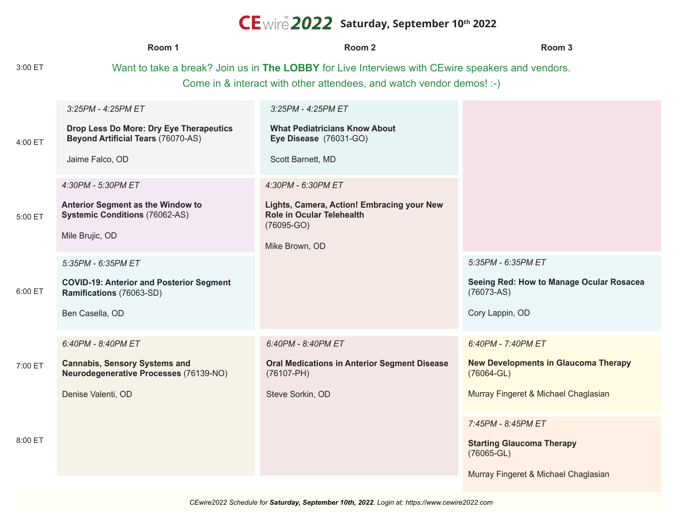## **Saturday, September 10th 2022**

|         | Room 1                                                                                                                                                                   | Room <sub>2</sub>                                                                                                               | Room <sub>3</sub>                                                                                                           |  |
|---------|--------------------------------------------------------------------------------------------------------------------------------------------------------------------------|---------------------------------------------------------------------------------------------------------------------------------|-----------------------------------------------------------------------------------------------------------------------------|--|
| 3:00 ET | Want to take a break? Join us in The LOBBY for Live Interviews with CEwire speakers and vendors.<br>Come in & interact with other attendees, and watch vendor demos! :-) |                                                                                                                                 |                                                                                                                             |  |
| 4:00 ET | 3:25PM - 4:25PM ET<br>Drop Less Do More: Dry Eye Therapeutics<br><b>Beyond Artificial Tears (76070-AS)</b><br>Jaime Falco, OD<br>4:30PM - 5:30PM ET                      | 3:25PM - 4:25PM ET<br><b>What Pediatricians Know About</b><br>Eye Disease (76031-GO)<br>Scott Barnett, MD<br>4:30PM - 6:30PM ET |                                                                                                                             |  |
| 5:00 ET | Anterior Segment as the Window to<br><b>Systemic Conditions (76062-AS)</b><br>Mile Brujic, OD                                                                            | Lights, Camera, Action! Embracing your New<br><b>Role in Ocular Telehealth</b><br>$(76095-GO)$<br>Mike Brown, OD                |                                                                                                                             |  |
| 6:00 ET | 5:35PM - 6:35PM ET<br><b>COVID-19: Anterior and Posterior Segment</b><br>Ramifications (76063-SD)<br>Ben Casella, OD                                                     |                                                                                                                                 | 5:35PM - 6:35PM ET<br>Seeing Red: How to Manage Ocular Rosacea<br>$(76073-AS)$<br>Cory Lappin, OD                           |  |
| 7:00 ET | 6:40PM - 8:40PM ET<br><b>Cannabis, Sensory Systems and</b><br>Neurodegenerative Processes (76139-NO)<br>Denise Valenti, OD                                               | 6:40PM - 8:40PM ET<br><b>Oral Medications in Anterior Segment Disease</b><br>$(76107 - PH)$<br>Steve Sorkin, OD                 | 6:40PM - 7:40PM ET<br><b>New Developments in Glaucoma Therapy</b><br>$(76064 - GL)$<br>Murray Fingeret & Michael Chaglasian |  |
| 8:00 ET |                                                                                                                                                                          |                                                                                                                                 | 7:45PM - 8:45PM ET<br><b>Starting Glaucoma Therapy</b><br>$(76065 - GL)$<br>Murray Fingeret & Michael Chaglasian            |  |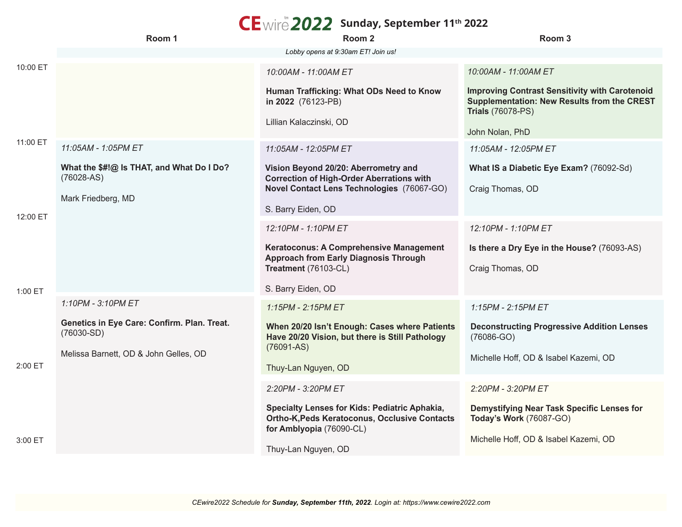## **Sunday, September 11th 2022**

|          | Room 1                                                      | Room 2                                                                                                                     | Room <sub>3</sub>                                                                                                                       |
|----------|-------------------------------------------------------------|----------------------------------------------------------------------------------------------------------------------------|-----------------------------------------------------------------------------------------------------------------------------------------|
|          |                                                             | Lobby opens at 9:30am ET! Join us!                                                                                         |                                                                                                                                         |
| 10:00 ET |                                                             | 10:00AM - 11:00AM ET                                                                                                       | 10:00AM - 11:00AM ET                                                                                                                    |
|          |                                                             | Human Trafficking: What ODs Need to Know<br>in 2022 (76123-PB)<br>Lillian Kalaczinski, OD                                  | <b>Improving Contrast Sensitivity with Carotenoid</b><br><b>Supplementation: New Results from the CREST</b><br><b>Trials (76078-PS)</b> |
|          |                                                             |                                                                                                                            | John Nolan, PhD                                                                                                                         |
| 11:00 ET | 11:05AM - 1:05PM ET                                         | 11:05AM - 12:05PM ET                                                                                                       | 11:05AM - 12:05PM ET                                                                                                                    |
|          | What the \$#!@ Is THAT, and What Do I Do?<br>$(76028-AS)$   | Vision Beyond 20/20: Aberrometry and<br><b>Correction of High-Order Aberrations with</b>                                   | What IS a Diabetic Eye Exam? (76092-Sd)                                                                                                 |
| 12:00 ET | Mark Friedberg, MD                                          | Novel Contact Lens Technologies (76067-GO)                                                                                 | Craig Thomas, OD                                                                                                                        |
|          |                                                             | S. Barry Eiden, OD                                                                                                         |                                                                                                                                         |
|          |                                                             | 12:10PM - 1:10PM ET                                                                                                        | 12:10PM - 1:10PM ET                                                                                                                     |
|          |                                                             | Keratoconus: A Comprehensive Management<br><b>Approach from Early Diagnosis Through</b>                                    | Is there a Dry Eye in the House? (76093-AS)                                                                                             |
|          |                                                             | Treatment (76103-CL)                                                                                                       | Craig Thomas, OD                                                                                                                        |
| 1:00 ET  |                                                             | S. Barry Eiden, OD                                                                                                         |                                                                                                                                         |
|          | 1:10PM - 3:10PM ET                                          | 1:15PM - 2:15PM ET                                                                                                         | 1:15PM - 2:15PM ET                                                                                                                      |
| 2:00 ET  | Genetics in Eye Care: Confirm. Plan. Treat.<br>$(76030-SD)$ | When 20/20 Isn't Enough: Cases where Patients<br>Have 20/20 Vision, but there is Still Pathology<br>$(76091 - AS)$         | <b>Deconstructing Progressive Addition Lenses</b><br>$(76086-GO)$                                                                       |
|          | Melissa Barnett, OD & John Gelles, OD                       | Thuy-Lan Nguyen, OD                                                                                                        | Michelle Hoff, OD & Isabel Kazemi, OD                                                                                                   |
|          |                                                             |                                                                                                                            |                                                                                                                                         |
|          |                                                             | 2:20PM - 3:20PM ET                                                                                                         | 2:20PM - 3:20PM ET                                                                                                                      |
|          |                                                             | Specialty Lenses for Kids: Pediatric Aphakia,<br>Ortho-K, Peds Keratoconus, Occlusive Contacts<br>for Amblyopia (76090-CL) | Demystifying Near Task Specific Lenses for<br>Today's Work (76087-GO)                                                                   |
| 3:00 ET  |                                                             | Thuy-Lan Nguyen, OD                                                                                                        | Michelle Hoff, OD & Isabel Kazemi, OD                                                                                                   |